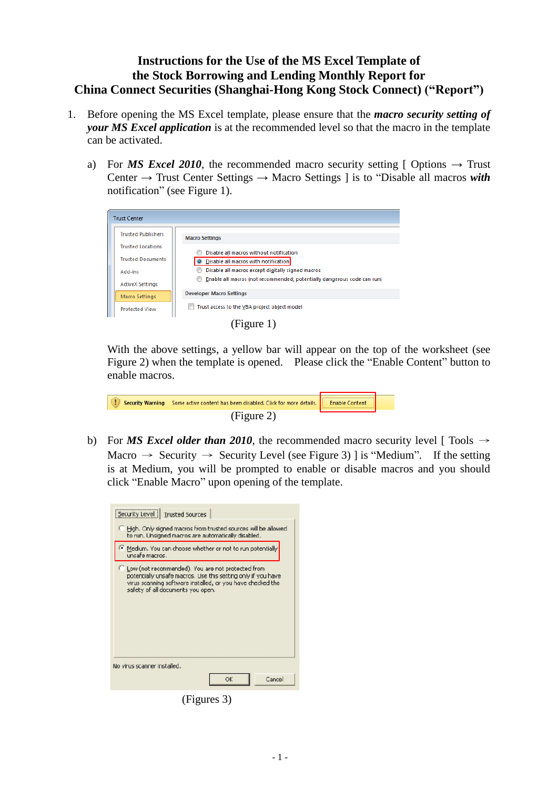## **Instructions for the Use of the MS Excel Template of the Stock Borrowing and Lending Monthly Report for China Connect Securities (Shanghai-Hong Kong Stock Connect) ("Report")**

- 1. Before opening the MS Excel template, please ensure that the *macro security setting of your MS Excel application* is at the recommended level so that the macro in the template can be activated.
	- a) For *MS Excel 2010*, the recommended macro security setting [ Options  $\rightarrow$  Trust Center → Trust Center Settings → Macro Settings ] is to "Disable all macros *with* notification" (see Figure 1).

|  | <b>Trust Center</b>       |                                                                         |
|--|---------------------------|-------------------------------------------------------------------------|
|  | <b>Trusted Publishers</b> | <b>Macro Settings</b>                                                   |
|  | <b>Trusted Locations</b>  | Disable all macros without notification                                 |
|  | <b>Trusted Documents</b>  | O Disable all macros with notification                                  |
|  | Add-ins                   | Disable all macros except digitally signed macros                       |
|  | <b>ActiveX Settings</b>   | Enable all macros (not recommended; potentially dangerous code can run) |
|  | Macro Settings            | <b>Developer Macro Settings</b>                                         |
|  | <b>Protected View</b>     | Trust access to the VBA project object model                            |
|  |                           |                                                                         |

(Figure 1)

With the above settings, a yellow bar will appear on the top of the worksheet (see Figure 2) when the template is opened. Please click the "Enable Content" button to enable macros.

| A I T | Security Warning Some active content has been disabled. Click for more details. <b>Example Security</b> Content |  |
|-------|-----------------------------------------------------------------------------------------------------------------|--|
|       | (Figure 2)                                                                                                      |  |

b) For *MS Excel older than 2010*, the recommended macro security level [ Tools  $\rightarrow$ Macro  $\rightarrow$  Security  $\rightarrow$  Security Level (see Figure 3) ] is "Medium". If the setting is at Medium, you will be prompted to enable or disable macros and you should click "Enable Macro" upon opening of the template.

| Security Level   Trusted Sources                                                                                                                                                                                       |  |  |  |
|------------------------------------------------------------------------------------------------------------------------------------------------------------------------------------------------------------------------|--|--|--|
| Figh. Only signed macros from trusted sources will be allowed<br>to run. Unsigned macros are automatically disabled.                                                                                                   |  |  |  |
| Medium. You can choose whether or not to run potentially<br>unsafe macros .                                                                                                                                            |  |  |  |
| C Low (not recommended). You are not protected from<br>potentially unsafe macros. Use this setting only if you have<br>virus scanning software installed, or you have checked the<br>safety of all documents you open. |  |  |  |
| No virus scanner installed.                                                                                                                                                                                            |  |  |  |
| ОK<br>Cancel                                                                                                                                                                                                           |  |  |  |

(Figures 3)